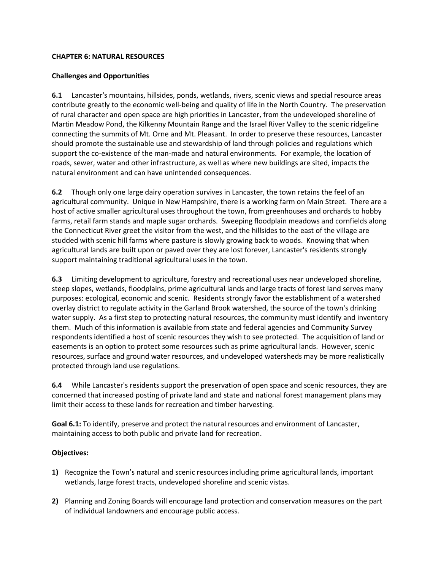## **CHAPTER 6: NATURAL RESOURCES**

## **Challenges and Opportunities**

**6.1** Lancaster's mountains, hillsides, ponds, wetlands, rivers, scenic views and special resource areas contribute greatly to the economic well-being and quality of life in the North Country. The preservation of rural character and open space are high priorities in Lancaster, from the undeveloped shoreline of Martin Meadow Pond, the Kilkenny Mountain Range and the Israel River Valley to the scenic ridgeline connecting the summits of Mt. Orne and Mt. Pleasant. In order to preserve these resources, Lancaster should promote the sustainable use and stewardship of land through policies and regulations which support the co-existence of the man-made and natural environments. For example, the location of roads, sewer, water and other infrastructure, as well as where new buildings are sited, impacts the natural environment and can have unintended consequences.

**6.2** Though only one large dairy operation survives in Lancaster, the town retains the feel of an agricultural community. Unique in New Hampshire, there is a working farm on Main Street. There are a host of active smaller agricultural uses throughout the town, from greenhouses and orchards to hobby farms, retail farm stands and maple sugar orchards. Sweeping floodplain meadows and cornfields along the Connecticut River greet the visitor from the west, and the hillsides to the east of the village are studded with scenic hill farms where pasture is slowly growing back to woods. Knowing that when agricultural lands are built upon or paved over they are lost forever, Lancaster's residents strongly support maintaining traditional agricultural uses in the town.

**6.3** Limiting development to agriculture, forestry and recreational uses near undeveloped shoreline, steep slopes, wetlands, floodplains, prime agricultural lands and large tracts of forest land serves many purposes: ecological, economic and scenic. Residents strongly favor the establishment of a watershed overlay district to regulate activity in the Garland Brook watershed, the source of the town's drinking water supply. As a first step to protecting natural resources, the community must identify and inventory them. Much of this information is available from state and federal agencies and Community Survey respondents identified a host of scenic resources they wish to see protected. The acquisition of land or easements is an option to protect some resources such as prime agricultural lands. However, scenic resources, surface and ground water resources, and undeveloped watersheds may be more realistically protected through land use regulations.

**6.4** While Lancaster's residents support the preservation of open space and scenic resources, they are concerned that increased posting of private land and state and national forest management plans may limit their access to these lands for recreation and timber harvesting.

**Goal 6.1:** To identify, preserve and protect the natural resources and environment of Lancaster, maintaining access to both public and private land for recreation.

### **Objectives:**

- **1)** Recognize the Town's natural and scenic resources including prime agricultural lands, important wetlands, large forest tracts, undeveloped shoreline and scenic vistas.
- **2)** Planning and Zoning Boards will encourage land protection and conservation measures on the part of individual landowners and encourage public access.